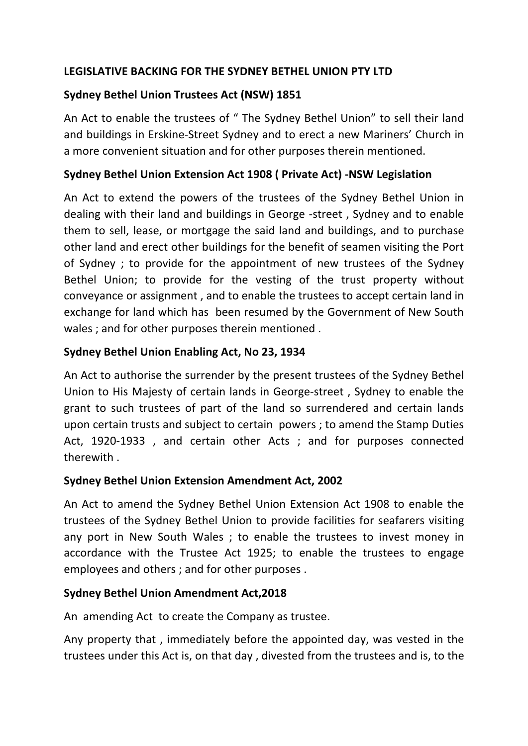# LEGISLATIVE BACKING FOR THE SYDNEY BETHEL UNION PTY LTD

# **Sydney Bethel Union Trustees Act (NSW) 1851**

An Act to enable the trustees of " The Sydney Bethel Union" to sell their land and buildings in Erskine-Street Sydney and to erect a new Mariners' Church in a more convenient situation and for other purposes therein mentioned.

### **Sydney Bethel Union Extension Act 1908 ( Private Act) -NSW Legislation**

An Act to extend the powers of the trustees of the Sydney Bethel Union in dealing with their land and buildings in George -street, Sydney and to enable them to sell, lease, or mortgage the said land and buildings, and to purchase other land and erect other buildings for the benefit of seamen visiting the Port of Sydney; to provide for the appointment of new trustees of the Sydney Bethel Union; to provide for the vesting of the trust property without conveyance or assignment, and to enable the trustees to accept certain land in exchange for land which has been resumed by the Government of New South wales ; and for other purposes therein mentioned .

## Sydney Bethel Union Enabling Act, No 23, 1934

An Act to authorise the surrender by the present trustees of the Sydney Bethel Union to His Majesty of certain lands in George-street, Sydney to enable the grant to such trustees of part of the land so surrendered and certain lands upon certain trusts and subject to certain powers ; to amend the Stamp Duties Act, 1920-1933, and certain other Acts; and for purposes connected therewith.

### **Sydney Bethel Union Extension Amendment Act, 2002**

An Act to amend the Sydney Bethel Union Extension Act 1908 to enable the trustees of the Sydney Bethel Union to provide facilities for seafarers visiting any port in New South Wales; to enable the trustees to invest money in accordance with the Trustee Act 1925; to enable the trustees to engage employees and others ; and for other purposes.

### **Sydney Bethel Union Amendment Act,2018**

An amending Act to create the Company as trustee.

Any property that, immediately before the appointed day, was vested in the trustees under this Act is, on that day, divested from the trustees and is, to the